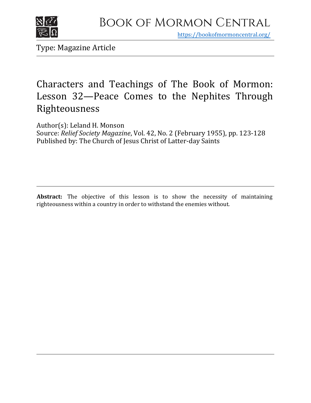

https[://bookofmormoncentral.org/](http://bookofmormoncentral.org/)

Type: Magazine Article

## Characters and Teachings of The Book of Mormon: Lesson 32—Peace Comes to the Nephites Through Righteousness

Author(s): Leland H. Monson

Source: *Relief Society Magazine*, Vol. 42, No. 2 (February 1955), pp. 123-128 Published by: The Church of Jesus Christ of Latter-day Saints

Abstract: The objective of this lesson is to show the necessity of maintaining righteousness within a country in order to withstand the enemies without.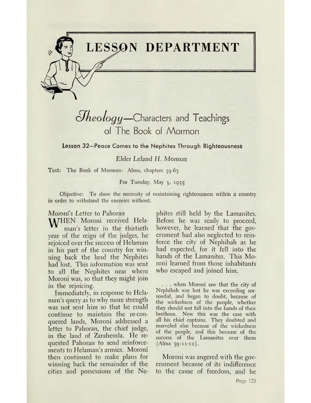

## *olheologij—*Characters and Teachings of The Book of Mormon

**Lesson 32—Peace Comes to the Nephites Through Righteousness**

*Elder Leland H. Monson*

Text: The Book of Mormon: Alma, chapters 59-63

For Tuesday, May 3, 1955

Objective: To show the necessity of maintaining righteousness within a country in order to withstand the enemies without.

### *Moroni's Letter to Pahoran*

**M/HEN** Moroni received Helaman'<sup>s</sup> letter in the thirtieth year of the reign of the judges, he rejoiced over the success of Helaman in his part of the country for winning back the land the Nephites had lost. This information was sent to all the Nephites near where Moroni was, so that they might join in the rejoicing.

Immediately, in response to Hclaman's query as to why more strength was not sent him so that he could continue to maintain the re-conquered lands, Moroni addressed a letter to Pahoran, the chief judge, in the land of Zarahemla. He requested Pahoran to send reinforcements to Helaman's armies. Moroni then continued to make plans for winning back the remainder of the cities and possessions of the Ne-

phites still held by the Lamanites. Before he was ready to proceed, however, he learned that the government had also neglected to reinforce the city of Nephihah as he had expected, for it fell into the hands of the Lamanites. This Moroni learned from those inhabitants who escaped and joined him.

. . . when Moroni saw that the city of Nephihah was lost he was exceeding sorrowful, and began to doubt, because of the wickedness of the people, whether they should not fall into the hands of their brethren. Now this was the case with all his chief captains. They doubted and marveled also because of the wickedness of the people, and this because of the success of the Lamanites over them (Alma 59:11-12).

Moroni was angered with the government because of its indifference to the cause of freedom, and he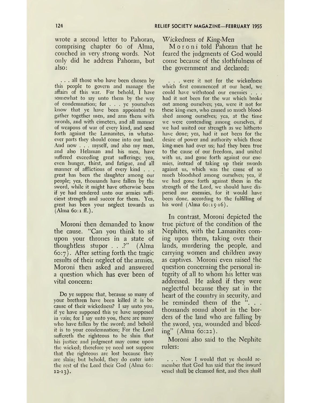wrote a second letter to Pahoran, comprising chapter 60 of Alma, couched in very strong words. Not only did he address Pahoran, but also:

... all those who have been chosen by this people to govern and manage the affairs of this war. For behold, I have somewhat to say unto them by the way of condemnation; for . . . ye yourselves know that ye have been appointed to gather together men, and arm them with swords, and with cimeters, and all manner of weapons of war of every kind, and send forth against the Lamanites, in whatsoever parts they should come into our land. And now . . . myself, and also my men, and also Helaman and his men, have suffered exceeding great sufferings; yea, even hunger, thirst, and fatigue, and all manner of afflictions of every kind . . . great has been the slaughter among our people; yea, thousands have fallen by the sword, while it might have otherwise been if ye had rendered unto our armies sufficient strength and succor for them. Yea, great has been your neglect towards us  $(Alma 60:1 ff.).$ 

Moroni then demanded to know the cause. "Can you think to sit upon your thrones in a state of thoughtless stupor . . .?" (Alma  $60:7$ ). After setting forth the tragic results of their neglect of the armies, Moroni then asked and answered a question which has ever been of vital concern:

Do ye suppose that, because so many of your brethren have been killed it is because of their wickedness? I say unto you, if ye have supposed this ye have supposed in vain; for I say unto you, there are many who have fallen by the sword; and behold it is to your condemnation; For the Lord suffereth the righteous to be slain that his justice and judgment may come upon the wicked; therefore ye need not suppose that the righteous are lost because they are slain; but behold, they do enter into the rest of the Lord their God (Alma 60:  $12-13$ .

Wickedness of *King-Men*

Moroni told Pahoran that he feared the judgments of God would come because of the slothfulness of the government and declared:

. . . were it not for the wickedness which first commenced at our head, we could have withstood our enemies . . . had it not been for the war which broke out among ourselves; yea, were it not for these king-men, who caused so much bloodshed among ourselves; yea, at the time we were contending among ourselves, if we had united our strength as we hitherto have done; yea, had it not been for the desire of power and authority which those king-men had over us; had they been true to the cause of our freedom, and united with us, and gone forth against our enemies, instead of taking up their swords against us, which was the cause of so much bloodshed among ourselves; yea, if we had gone forth against them in the strength of the Lord, we should have dispersed our enemies, for it would have been done, according to the fulfilling of his word  $(Alma 60:15-16)$ .

In contrast, Moroni depicted the true picture of the condition of the Nephites, with the Lamanites coming upon them, taking over their lands, murdering the people, and carrying women and children away as captives. Moroni even raised the question concerning the personal integrity of all to whom his letter was addressed. He asked if they were neglectful because they sat in the heart of the country in security, and he reminded them of the ". . . thousands round about in the borders of the land who are falling by the sword, yea, wounded and bleeding" (Alma 60:22).

Moroni .also said to the Nephite rulers:

. . . Now I would that ye should remember that God has said that the inward vessel shall be cleansed first, and then shall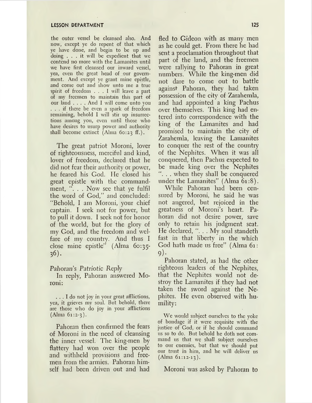the outer vessel be cleansed also. And now, except ye do repent of that which ye have done, and begin to be up and doing ... it will be expedient that we contend no more with the Lamanites until we have first cleansed our inward vessel, yea, even the great head of our government. And except ye grant mine epistle, and come out and show unto me a true spirit of freedom ... <sup>I</sup> will leave <sup>a</sup> part of my freemen to maintain this part of our land .... And <sup>I</sup> will come unto you ... if there be even <sup>a</sup> spark of freedom remaining, behold I will stir up insurrections among you, even until those who have desires to usurp power and authority shall become extinct (Alma  $60:23$  ff.).

The great patriot Moroni, lover of righteousness, merciful and kind, lover of freedom, declared that he did not fear their authority or power, he feared his God. He closed his great epistle with the commandment, "... Now see that ye fulfil the word of God," and concluded: "Behold, I am Moroni, your chief captain. I seek not for power, but to pull it down. I seek not for honor of the world, but for the glory of my God, and the freedom and welfare of my country. And thus I close mine epistle" (Alma 60:35- 36).

Pahoran's *Patriotic Reply*

In reply, Pahoran answered Moroni:

... I do not joy in your great afflictions, yea, it grieves my soul. But behold, there are those who do joy in your afflictions (Alma 61:2-3).

Pahoran then confirmed the fears of Moroni in the need of cleansing the inner vessel. The king-men by flattery had won over the people and withheld provisions and freemen from the armies. Pahoran himself had been driven out and had

fled to Gideon with as many men as he could get. From there he had sent a proclamation throughout that part of the land, and the freemen were rallying to Pahoran in great numbers. While the king-men did not dare to come out to battle against Pahoran, they had taken possession of the city of Zarahemla, and had appointed a king Pachus over themselves. This king had entered into correspondence with the king of the Lamanites and had promised to maintain the city of Zarahemla, leaving the Lamanites to conquer the rest of the country of the Nephites. When it was all conquered, then Pachus expected to be made king over the Nephites ". . . when they shall be conquered under the Lamanites" (Alma 61:8).

While Pahoran had been censured by Moroni, he said he was not angered, but rejoiced in the greatness of Moroni's heart. Pahoran did not desire power, save only to retain his judgment seat. He declared, ". . . My soul standeth fast in that liberty in the which God hath made us free" (Alma 61: 9)-

Pahoran stated, as had the other righteous leaders of the Nephites, that the Nephites would not destroy the Lamanites if they had not taken the sword against the Nephites. He even observed with humility:

We would subject ourselves to the yoke of bondage if it were requisite with the justice of God, or if he should command us so to do. But behold he doth not command us that we shall subject ourselves to our enemies, but that we should put our trust in him, and he will deliver us (Alma 61:12-13).

Moroni was asked by Pahoran to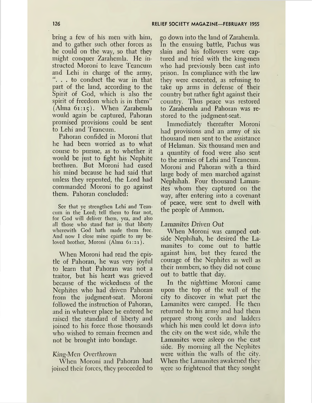bring a few of his men with him, and to gather such other forces as he could on the way, so that they might conquer Zarahemla. He instructed Moroni to leave Teancum and Lehi in charge of the army, . to conduct the war in that part of the land, according to the Spirit of God, which is also the spirit of freedom which is in them" (Alma 61:15). When Zarahemla would again be captured, Pahoran promised provisions could be sent to Lehi and Teancum.

Pahoran confided in Moroni that he had been worried as to what course to pursue, as to whether it would be just to fight his Nephite brethren. But Moroni had eased his mind because he had said that unless they repented, the Lord had commanded Moroni to go against them. Pahoran concluded:

See that ye strengthen Lehi and Teancum in the Lord; tell them to fear not, for God will deliver them, yea, and also all those who stand fast in that liberty wherewith God hath made them free. And now I close mine epistle to my beloved brother, Moroni (Alma 61:21).

When Moroni had read the epistle of Pahoran, he was very joyful to learn that Pahoran was not a traitor, but his heart was grieved because of the wickedness of the Nephites who had driven Pahoran from the judgment-seat. Moroni followed the instruction of Pahoran, and in whatever place he entered he raised the standard of liberty and joined to his force those thousands who wished to remain freemen and not be brought into bondage.

## *King-Men Overthrown*

When Moroni and Pahoran had joined their forces, they proceeded to go down into the land of Zarahemla. In the ensuing battle, Pachus was slain and his followers were captured and tried with the king-men who had previously been cast into prison. In compliance with the law they were executed, as refusing to take up arms in defense of their country but rather fight against their country. Thus peace was restored to Zarahemla and Pahoran was restored to the judgment-seat.

Immediately thereafter Moroni had provisions and an army of six thousand men sent to the assistance of Helaman. Six thousand men and a quantity of food were also sent to the armies of Lehi and Teancum. Moroni and Pahoran with a third large body of men marched against Nephihah. Four thousand Lamanites whom they captured on the way, after entering into a covenant of peace, were sent to dwell with the people of Ammon.

### *Lamanites Driven Out*

When Moroni was camped outside Nephihah, he desired the Lamanites to come out to battle against him, but they feared the courage of the Nephites as well as their numbers, so they did not come out to battle that day.

In the nighttime Moroni came upon the top of the wall of the city to discover in what part the Lamanites were camped. He then returned to his army and had them prepare strong cords and ladders which his men could let down into the city on the west side, while the Lamanites were asleep on the east side. By morning all the Nephites were within the walls of the city. When the Lamanites awakened they were so frightened that they sought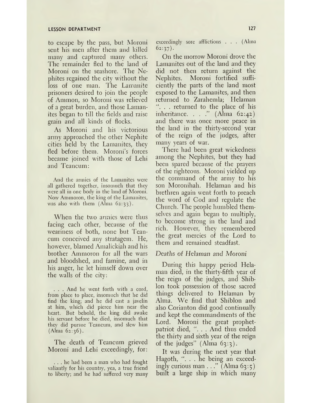## **LESSON DEPARTMENT 127**

to escape by the pass, but Moroni sent his men after them and killed many and captured many others. The remainder fled to the land of Moroni on the seashore. The Nephites regained the city without the loss of one man. The Lamanite prisoners desired to join the people of Ammon, so Moroni was relieved of a great burden, and those Lamanites began to till the fields and raise grain and all kinds of flocks.

As Moroni and his victorious army approached the other Nephite cities held by the Lamanites, they fled before them. Moroni'<sup>s</sup> forces became joined with those of Lehi and Teancum:

And the armies of the Lamanites were all gathered together, insomuch that they were all in one body in the land of Moroni. Now Ammoron, the king of the Lamanites, was also with them  $(Alma 62:33)$ .

When the two armies were thus facing each other, because of the weariness of both, none but Teancum conceived any stratagem. He, however, blamed Amalickiah and his brother Ammoron for all the wars and bloodshed, and famine, and in his anger, he let himself down over the walls of the city:

. . . And he went forth with a cord, from place to place, insomuch that he did find the king; and he did cast a javelin at him, which did pierce him near the heart. But behold, the king did awake his servant before he died, insomuch that they did pursue Teancum, and slew him  $(A)$ lma  $62:36$ ).

The death of Teancum grieved Moroni and Lehi exceedingly, for:

... he had been <sup>a</sup> man who had fought valiantly for his country, yea, a true friend to liberty; and he had suffered very many exceedingly sore afflictions . . . (Alma  $62:37$ ).

On the morrow Moroni drove the Lamanites out of the land and they did not then return against the Nephites. Moroni fortified sufficiently the parts of the land most exposed to the Lamanites, and then returned to Zarahemla; Helaman . . returned to the place of his inheritance. . . ." (Alma 62:42) and there was once more peace in the land in the thirty-second year of the reign of the judges, after many years of war.

There had been great wickedness among the Nephites, but they had been spared because of the prayers of the righteous. Moroni yielded up the command of the army to his son Moronihah. Helaman and his brethren again went forth to preach the word of God and regulate the Church. The people humbled themselves and again began to multiply, to become strong in the land and rich. However, they remembered the great mercies of the Lord to them and remained steadfast.

#### *Deaths of* Helaman *and Moroni*

During this happy period Helaman died, in the thirty-fifth year of the reign of the judges, and Shiblon took possession of those sacred things delivered to Helaman by Alma. We find that Shiblon and also Corianton did good continually and kept the commandments of the Lord. Moroni the great prophetpatriot died, ". . . And thus ended the thirty and sixth year of the reign of the judges"  $(Alma 63:3)$ .

It was during the next year that Hagoth, ". . . he being an exceedingly curious man  $\ldots$ " (Alma 63:5) built a large ship in which many